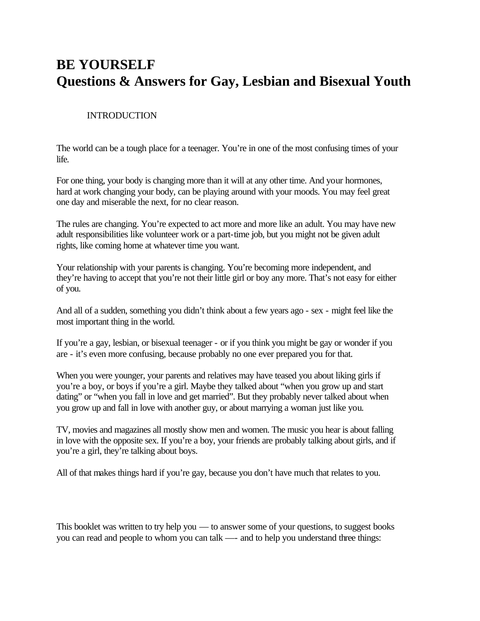# **BE YOURSELF Questions & Answers for Gay, Lesbian and Bisexual Youth**

### INTRODUCTION

The world can be a tough place for a teenager. You're in one of the most confusing times of your life.

For one thing, your body is changing more than it will at any other time. And your hormones, hard at work changing your body, can be playing around with your moods. You may feel great one day and miserable the next, for no clear reason.

The rules are changing. You're expected to act more and more like an adult. You may have new adult responsibilities like volunteer work or a part-time job, but you might not be given adult rights, like coming home at whatever time you want.

Your relationship with your parents is changing. You're becoming more independent, and they're having to accept that you're not their little girl or boy any more. That's not easy for either of you.

And all of a sudden, something you didn't think about a few years ago - sex - might feel like the most important thing in the world.

If you're a gay, lesbian, or bisexual teenager - or if you think you might be gay or wonder if you are - it's even more confusing, because probably no one ever prepared you for that.

When you were younger, your parents and relatives may have teased you about liking girls if you're a boy, or boys if you're a girl. Maybe they talked about "when you grow up and start dating" or "when you fall in love and get married". But they probably never talked about when you grow up and fall in love with another guy, or about marrying a woman just like you.

TV, movies and magazines all mostly show men and women. The music you hear is about falling in love with the opposite sex. If you're a boy, your friends are probably talking about girls, and if you're a girl, they're talking about boys.

All of that makes things hard if you're gay, because you don't have much that relates to you.

This booklet was written to try help you — to answer some of your questions, to suggest books you can read and people to whom you can talk —- and to help you understand three things: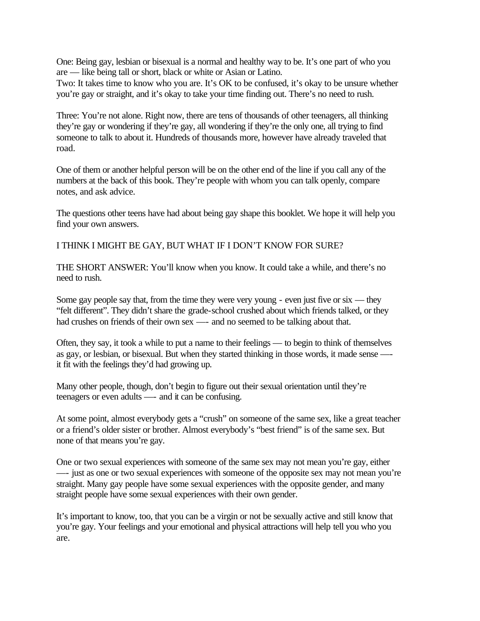One: Being gay, lesbian or bisexual is a normal and healthy way to be. It's one part of who you are — like being tall or short, black or white or Asian or Latino.

Two: It takes time to know who you are. It's OK to be confused, it's okay to be unsure whether you're gay or straight, and it's okay to take your time finding out. There's no need to rush.

Three: You're not alone. Right now, there are tens of thousands of other teenagers, all thinking they're gay or wondering if they're gay, all wondering if they're the only one, all trying to find someone to talk to about it. Hundreds of thousands more, however have already traveled that road.

One of them or another helpful person will be on the other end of the line if you call any of the numbers at the back of this book. They're people with whom you can talk openly, compare notes, and ask advice.

The questions other teens have had about being gay shape this booklet. We hope it will help you find your own answers.

I THINK I MIGHT BE GAY, BUT WHAT IF I DON'T KNOW FOR SURE?

THE SHORT ANSWER: You'll know when you know. It could take a while, and there's no need to rush.

Some gay people say that, from the time they were very young - even just five or six — they "felt different". They didn't share the grade-school crushed about which friends talked, or they had crushes on friends of their own sex — and no seemed to be talking about that.

Often, they say, it took a while to put a name to their feelings — to begin to think of themselves as gay, or lesbian, or bisexual. But when they started thinking in those words, it made sense — it fit with the feelings they'd had growing up.

Many other people, though, don't begin to figure out their sexual orientation until they're teenagers or even adults —- and it can be confusing.

At some point, almost everybody gets a "crush" on someone of the same sex, like a great teacher or a friend's older sister or brother. Almost everybody's "best friend" is of the same sex. But none of that means you're gay.

One or two sexual experiences with someone of the same sex may not mean you're gay, either —- just as one or two sexual experiences with someone of the opposite sex may not mean you're straight. Many gay people have some sexual experiences with the opposite gender, and many straight people have some sexual experiences with their own gender.

It's important to know, too, that you can be a virgin or not be sexually active and still know that you're gay. Your feelings and your emotional and physical attractions will help tell you who you are.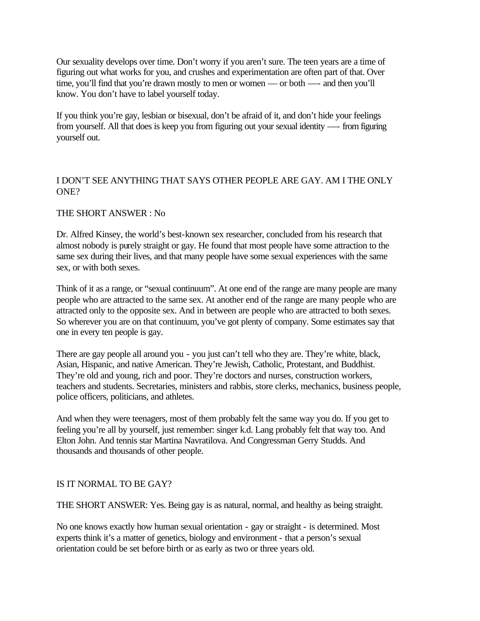Our sexuality develops over time. Don't worry if you aren't sure. The teen years are a time of figuring out what works for you, and crushes and experimentation are often part of that. Over time, you'll find that you're drawn mostly to men or women — or both — and then you'll know. You don't have to label yourself today.

If you think you're gay, lesbian or bisexual, don't be afraid of it, and don't hide your feelings from yourself. All that does is keep you from figuring out your sexual identity —- from figuring yourself out.

### I DON'T SEE ANYTHING THAT SAYS OTHER PEOPLE ARE GAY. AM I THE ONLY ONE?

#### THE SHORT ANSWER : No

Dr. Alfred Kinsey, the world's best-known sex researcher, concluded from his research that almost nobody is purely straight or gay. He found that most people have some attraction to the same sex during their lives, and that many people have some sexual experiences with the same sex, or with both sexes.

Think of it as a range, or "sexual continuum". At one end of the range are many people are many people who are attracted to the same sex. At another end of the range are many people who are attracted only to the opposite sex. And in between are people who are attracted to both sexes. So wherever you are on that continuum, you've got plenty of company. Some estimates say that one in every ten people is gay.

There are gay people all around you - you just can't tell who they are. They're white, black, Asian, Hispanic, and native American. They're Jewish, Catholic, Protestant, and Buddhist. They're old and young, rich and poor. They're doctors and nurses, construction workers, teachers and students. Secretaries, ministers and rabbis, store clerks, mechanics, business people, police officers, politicians, and athletes.

And when they were teenagers, most of them probably felt the same way you do. If you get to feeling you're all by yourself, just remember: singer k.d. Lang probably felt that way too. And Elton John. And tennis star Martina Navratilova. And Congressman Gerry Studds. And thousands and thousands of other people.

#### IS IT NORMAL TO BE GAY?

THE SHORT ANSWER: Yes. Being gay is as natural, normal, and healthy as being straight.

No one knows exactly how human sexual orientation - gay or straight - is determined. Most experts think it's a matter of genetics, biology and environment - that a person's sexual orientation could be set before birth or as early as two or three years old.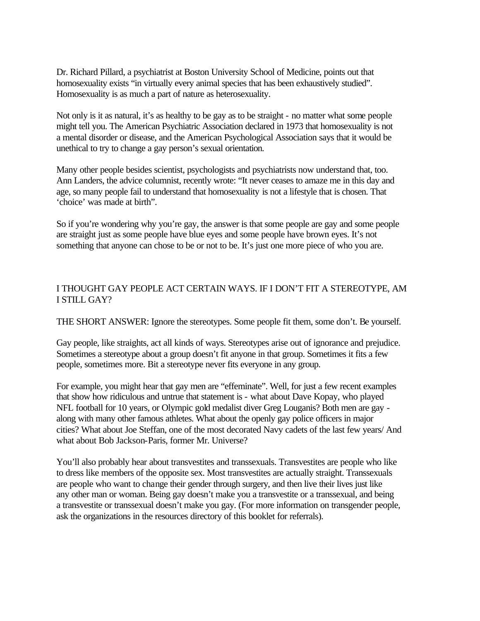Dr. Richard Pillard, a psychiatrist at Boston University School of Medicine, points out that homosexuality exists "in virtually every animal species that has been exhaustively studied". Homosexuality is as much a part of nature as heterosexuality.

Not only is it as natural, it's as healthy to be gay as to be straight - no matter what some people might tell you. The American Psychiatric Association declared in 1973 that homosexuality is not a mental disorder or disease, and the American Psychological Association says that it would be unethical to try to change a gay person's sexual orientation.

Many other people besides scientist, psychologists and psychiatrists now understand that, too. Ann Landers, the advice columnist, recently wrote: "It never ceases to amaze me in this day and age, so many people fail to understand that homosexuality is not a lifestyle that is chosen. That 'choice' was made at birth".

So if you're wondering why you're gay, the answer is that some people are gay and some people are straight just as some people have blue eyes and some people have brown eyes. It's not something that anyone can chose to be or not to be. It's just one more piece of who you are.

### I THOUGHT GAY PEOPLE ACT CERTAIN WAYS. IF I DON'T FIT A STEREOTYPE, AM I STILL GAY?

THE SHORT ANSWER: Ignore the stereotypes. Some people fit them, some don't. Be yourself.

Gay people, like straights, act all kinds of ways. Stereotypes arise out of ignorance and prejudice. Sometimes a stereotype about a group doesn't fit anyone in that group. Sometimes it fits a few people, sometimes more. Bit a stereotype never fits everyone in any group.

For example, you might hear that gay men are "effeminate". Well, for just a few recent examples that show how ridiculous and untrue that statement is - what about Dave Kopay, who played NFL football for 10 years, or Olympic gold medalist diver Greg Louganis? Both men are gay along with many other famous athletes. What about the openly gay police officers in major cities? What about Joe Steffan, one of the most decorated Navy cadets of the last few years/ And what about Bob Jackson-Paris, former Mr. Universe?

You'll also probably hear about transvestites and transsexuals. Transvestites are people who like to dress like members of the opposite sex. Most transvestites are actually straight. Transsexuals are people who want to change their gender through surgery, and then live their lives just like any other man or woman. Being gay doesn't make you a transvestite or a transsexual, and being a transvestite or transsexual doesn't make you gay. (For more information on transgender people, ask the organizations in the resources directory of this booklet for referrals).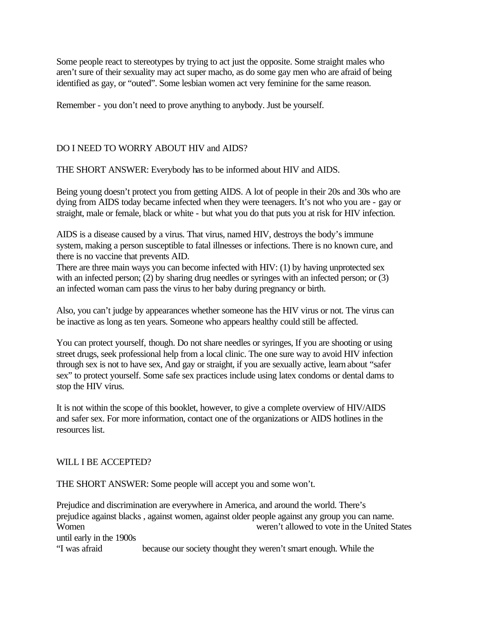Some people react to stereotypes by trying to act just the opposite. Some straight males who aren't sure of their sexuality may act super macho, as do some gay men who are afraid of being identified as gay, or "outed". Some lesbian women act very feminine for the same reason.

Remember - you don't need to prove anything to anybody. Just be yourself.

#### DO I NEED TO WORRY ABOUT HIV and AIDS?

THE SHORT ANSWER: Everybody has to be informed about HIV and AIDS.

Being young doesn't protect you from getting AIDS. A lot of people in their 20s and 30s who are dying from AIDS today became infected when they were teenagers. It's not who you are - gay or straight, male or female, black or white - but what you do that puts you at risk for HIV infection.

AIDS is a disease caused by a virus. That virus, named HIV, destroys the body's immune system, making a person susceptible to fatal illnesses or infections. There is no known cure, and there is no vaccine that prevents AID.

There are three main ways you can become infected with HIV: (1) by having unprotected sex with an infected person; (2) by sharing drug needles or syringes with an infected person; or (3) an infected woman cam pass the virus to her baby during pregnancy or birth.

Also, you can't judge by appearances whether someone has the HIV virus or not. The virus can be inactive as long as ten years. Someone who appears healthy could still be affected.

You can protect yourself, though. Do not share needles or syringes, If you are shooting or using street drugs, seek professional help from a local clinic. The one sure way to avoid HIV infection through sex is not to have sex, And gay or straight, if you are sexually active, learn about "safer sex" to protect yourself. Some safe sex practices include using latex condoms or dental dams to stop the HIV virus.

It is not within the scope of this booklet, however, to give a complete overview of HIV/AIDS and safer sex. For more information, contact one of the organizations or AIDS hotlines in the resources list.

#### WILL I BE ACCEPTED?

THE SHORT ANSWER: Some people will accept you and some won't.

Prejudice and discrimination are everywhere in America, and around the world. There's prejudice against blacks , against women, against older people against any group you can name. Women weren't allowed to vote in the United States until early in the 1900s

"I was afraid because our society thought they weren't smart enough. While the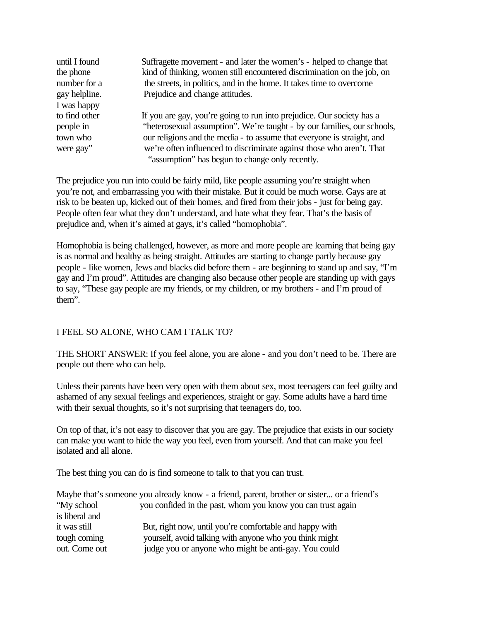| until I found | Suffragette movement - and later the women's - helped to change that    |
|---------------|-------------------------------------------------------------------------|
| the phone     | kind of thinking, women still encountered discrimination on the job, on |
| number for a  | the streets, in politics, and in the home. It takes time to overcome    |
| gay helpline. | Prejudice and change attitudes.                                         |
| I was happy   |                                                                         |
| to find other | If you are gay, you're going to run into prejudice. Our society has a   |
| people in     | "heterosexual assumption". We're taught - by our families, our schools, |
| town who      | our religions and the media - to assume that everyone is straight, and  |
| were gay"     | we're often influenced to discriminate against those who aren't. That   |
|               | "assumption" has begun to change only recently.                         |

The prejudice you run into could be fairly mild, like people assuming you're straight when you're not, and embarrassing you with their mistake. But it could be much worse. Gays are at risk to be beaten up, kicked out of their homes, and fired from their jobs - just for being gay. People often fear what they don't understand, and hate what they fear. That's the basis of prejudice and, when it's aimed at gays, it's called "homophobia".

Homophobia is being challenged, however, as more and more people are learning that being gay is as normal and healthy as being straight. Attitudes are starting to change partly because gay people - like women, Jews and blacks did before them - are beginning to stand up and say, "I'm gay and I'm proud". Attitudes are changing also because other people are standing up with gays to say, "These gay people are my friends, or my children, or my brothers - and I'm proud of them".

### I FEEL SO ALONE, WHO CAM I TALK TO?

THE SHORT ANSWER: If you feel alone, you are alone - and you don't need to be. There are people out there who can help.

Unless their parents have been very open with them about sex, most teenagers can feel guilty and ashamed of any sexual feelings and experiences, straight or gay. Some adults have a hard time with their sexual thoughts, so it's not surprising that teenagers do, too.

On top of that, it's not easy to discover that you are gay. The prejudice that exists in our society can make you want to hide the way you feel, even from yourself. And that can make you feel isolated and all alone.

The best thing you can do is find someone to talk to that you can trust.

|                | Maybe that's someone you already know - a friend, parent, brother or sister or a friend's |
|----------------|-------------------------------------------------------------------------------------------|
| "My school"    | you confided in the past, whom you know you can trust again                               |
| is liberal and |                                                                                           |
| it was still   | But, right now, until you're comfortable and happy with                                   |
| tough coming   | yourself, avoid talking with anyone who you think might                                   |
| out. Come out  | judge you or anyone who might be anti-gay. You could                                      |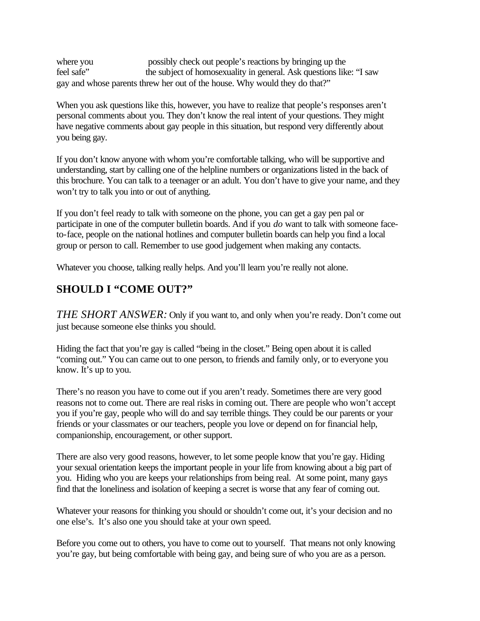where you possibly check out people's reactions by bringing up the feel safe" the subject of homosexuality in general. Ask questions like: "I saw gay and whose parents threw her out of the house. Why would they do that?"

When you ask questions like this, however, you have to realize that people's responses aren't personal comments about you. They don't know the real intent of your questions. They might have negative comments about gay people in this situation, but respond very differently about you being gay.

If you don't know anyone with whom you're comfortable talking, who will be supportive and understanding, start by calling one of the helpline numbers or organizations listed in the back of this brochure. You can talk to a teenager or an adult. You don't have to give your name, and they won't try to talk you into or out of anything.

If you don't feel ready to talk with someone on the phone, you can get a gay pen pal or participate in one of the computer bulletin boards. And if you *do* want to talk with someone faceto-face, people on the national hotlines and computer bulletin boards can help you find a local group or person to call. Remember to use good judgement when making any contacts.

Whatever you choose, talking really helps. And you'll learn you're really not alone.

# **SHOULD I "COME OUT?"**

*THE SHORT ANSWER:* Only if you want to, and only when you're ready. Don't come out just because someone else thinks you should.

Hiding the fact that you're gay is called "being in the closet." Being open about it is called "coming out." You can came out to one person, to friends and family only, or to everyone you know. It's up to you.

There's no reason you have to come out if you aren't ready. Sometimes there are very good reasons not to come out. There are real risks in coming out. There are people who won't accept you if you're gay, people who will do and say terrible things. They could be our parents or your friends or your classmates or our teachers, people you love or depend on for financial help, companionship, encouragement, or other support.

There are also very good reasons, however, to let some people know that you're gay. Hiding your sexual orientation keeps the important people in your life from knowing about a big part of you. Hiding who you are keeps your relationships from being real. At some point, many gays find that the loneliness and isolation of keeping a secret is worse that any fear of coming out.

Whatever your reasons for thinking you should or shouldn't come out, it's your decision and no one else's. It's also one you should take at your own speed.

Before you come out to others, you have to come out to yourself. That means not only knowing you're gay, but being comfortable with being gay, and being sure of who you are as a person.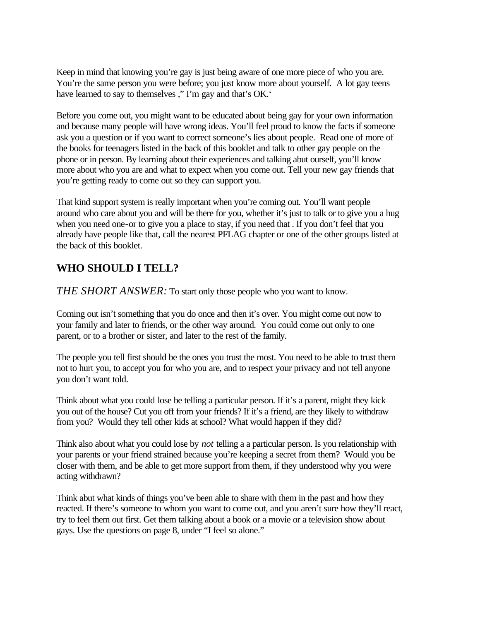Keep in mind that knowing you're gay is just being aware of one more piece of who you are. You're the same person you were before; you just know more about yourself. A lot gay teens have learned to say to themselves," I'm gay and that's OK."

Before you come out, you might want to be educated about being gay for your own information and because many people will have wrong ideas. You'll feel proud to know the facts if someone ask you a question or if you want to correct someone's lies about people. Read one of more of the books for teenagers listed in the back of this booklet and talk to other gay people on the phone or in person. By learning about their experiences and talking abut ourself, you'll know more about who you are and what to expect when you come out. Tell your new gay friends that you're getting ready to come out so they can support you.

That kind support system is really important when you're coming out. You'll want people around who care about you and will be there for you, whether it's just to talk or to give you a hug when you need one-or to give you a place to stay, if you need that . If you don't feel that you already have people like that, call the nearest PFLAG chapter or one of the other groups listed at the back of this booklet.

# **WHO SHOULD I TELL?**

*THE SHORT ANSWER:* To start only those people who you want to know.

Coming out isn't something that you do once and then it's over. You might come out now to your family and later to friends, or the other way around. You could come out only to one parent, or to a brother or sister, and later to the rest of the family.

The people you tell first should be the ones you trust the most. You need to be able to trust them not to hurt you, to accept you for who you are, and to respect your privacy and not tell anyone you don't want told.

Think about what you could lose be telling a particular person. If it's a parent, might they kick you out of the house? Cut you off from your friends? If it's a friend, are they likely to withdraw from you? Would they tell other kids at school? What would happen if they did?

Think also about what you could lose by *not* telling a a particular person. Is you relationship with your parents or your friend strained because you're keeping a secret from them? Would you be closer with them, and be able to get more support from them, if they understood why you were acting withdrawn?

Think abut what kinds of things you've been able to share with them in the past and how they reacted. If there's someone to whom you want to come out, and you aren't sure how they'll react, try to feel them out first. Get them talking about a book or a movie or a television show about gays. Use the questions on page 8, under "I feel so alone."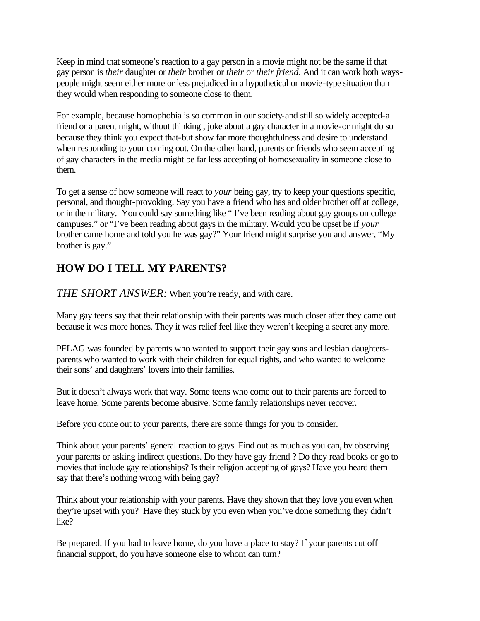Keep in mind that someone's reaction to a gay person in a movie might not be the same if that gay person is *their* daughter or *their* brother or *their* or *their friend*. And it can work both wayspeople might seem either more or less prejudiced in a hypothetical or movie-type situation than they would when responding to someone close to them.

For example, because homophobia is so common in our society-and still so widely accepted-a friend or a parent might, without thinking , joke about a gay character in a movie-or might do so because they think you expect that-but show far more thoughtfulness and desire to understand when responding to your coming out. On the other hand, parents or friends who seem accepting of gay characters in the media might be far less accepting of homosexuality in someone close to them.

To get a sense of how someone will react to *your* being gay, try to keep your questions specific, personal, and thought-provoking. Say you have a friend who has and older brother off at college, or in the military. You could say something like " I've been reading about gay groups on college campuses." or "I've been reading about gays in the military. Would you be upset be if *your*  brother came home and told you he was gay?" Your friend might surprise you and answer, "My brother is gay."

# **HOW DO I TELL MY PARENTS?**

*THE SHORT ANSWER:* When you're ready, and with care.

Many gay teens say that their relationship with their parents was much closer after they came out because it was more hones. They it was relief feel like they weren't keeping a secret any more.

PFLAG was founded by parents who wanted to support their gay sons and lesbian daughtersparents who wanted to work with their children for equal rights, and who wanted to welcome their sons' and daughters' lovers into their families.

But it doesn't always work that way. Some teens who come out to their parents are forced to leave home. Some parents become abusive. Some family relationships never recover.

Before you come out to your parents, there are some things for you to consider.

Think about your parents' general reaction to gays. Find out as much as you can, by observing your parents or asking indirect questions. Do they have gay friend ? Do they read books or go to movies that include gay relationships? Is their religion accepting of gays? Have you heard them say that there's nothing wrong with being gay?

Think about your relationship with your parents. Have they shown that they love you even when they're upset with you? Have they stuck by you even when you've done something they didn't like?

Be prepared. If you had to leave home, do you have a place to stay? If your parents cut off financial support, do you have someone else to whom can turn?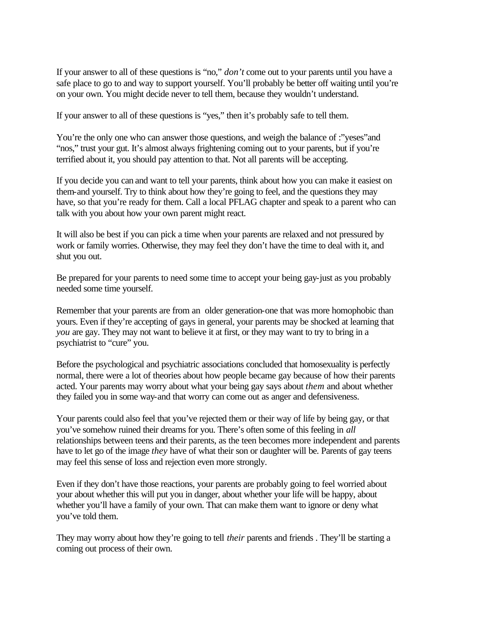If your answer to all of these questions is "no," *don't* come out to your parents until you have a safe place to go to and way to support yourself. You'll probably be better off waiting until you're on your own. You might decide never to tell them, because they wouldn't understand.

If your answer to all of these questions is "yes," then it's probably safe to tell them.

You're the only one who can answer those questions, and weigh the balance of :"yeses" and "nos," trust your gut. It's almost always frightening coming out to your parents, but if you're terrified about it, you should pay attention to that. Not all parents will be accepting.

If you decide you can and want to tell your parents, think about how you can make it easiest on them-and yourself. Try to think about how they're going to feel, and the questions they may have, so that you're ready for them. Call a local PFLAG chapter and speak to a parent who can talk with you about how your own parent might react.

It will also be best if you can pick a time when your parents are relaxed and not pressured by work or family worries. Otherwise, they may feel they don't have the time to deal with it, and shut you out.

Be prepared for your parents to need some time to accept your being gay-just as you probably needed some time yourself.

Remember that your parents are from an older generation-one that was more homophobic than yours. Even if they're accepting of gays in general, your parents may be shocked at learning that *you* are gay. They may not want to believe it at first, or they may want to try to bring in a psychiatrist to "cure" you.

Before the psychological and psychiatric associations concluded that homosexuality is perfectly normal, there were a lot of theories about how people became gay because of how their parents acted. Your parents may worry about what your being gay says about *them* and about whether they failed you in some way-and that worry can come out as anger and defensiveness.

Your parents could also feel that you've rejected them or their way of life by being gay, or that you've somehow ruined their dreams for you. There's often some of this feeling in *all*  relationships between teens and their parents, as the teen becomes more independent and parents have to let go of the image *they* have of what their son or daughter will be. Parents of gay teens may feel this sense of loss and rejection even more strongly.

Even if they don't have those reactions, your parents are probably going to feel worried about your about whether this will put you in danger, about whether your life will be happy, about whether you'll have a family of your own. That can make them want to ignore or deny what you've told them.

They may worry about how they're going to tell *their* parents and friends . They'll be starting a coming out process of their own.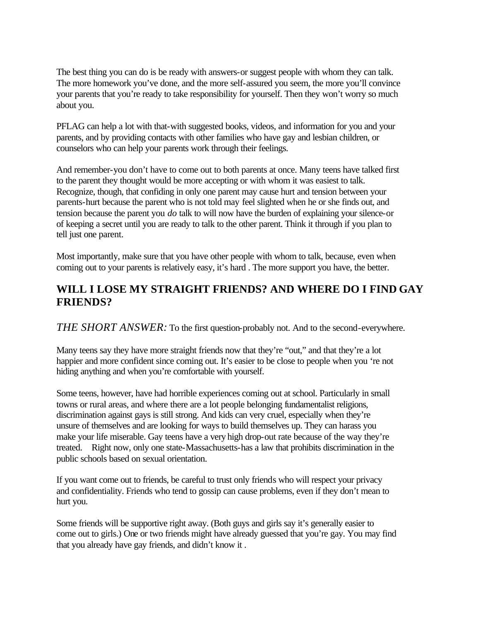The best thing you can do is be ready with answers-or suggest people with whom they can talk. The more homework you've done, and the more self-assured you seem, the more you'll convince your parents that you're ready to take responsibility for yourself. Then they won't worry so much about you.

PFLAG can help a lot with that-with suggested books, videos, and information for you and your parents, and by providing contacts with other families who have gay and lesbian children, or counselors who can help your parents work through their feelings.

And remember-you don't have to come out to both parents at once. Many teens have talked first to the parent they thought would be more accepting or with whom it was easiest to talk. Recognize, though, that confiding in only one parent may cause hurt and tension between your parents-hurt because the parent who is not told may feel slighted when he or she finds out, and tension because the parent you *do* talk to will now have the burden of explaining your silence-or of keeping a secret until you are ready to talk to the other parent. Think it through if you plan to tell just one parent.

Most importantly, make sure that you have other people with whom to talk, because, even when coming out to your parents is relatively easy, it's hard . The more support you have, the better.

# **WILL I LOSE MY STRAIGHT FRIENDS? AND WHERE DO I FIND GAY FRIENDS?**

*THE SHORT ANSWER:* To the first question-probably not. And to the second-everywhere.

Many teens say they have more straight friends now that they're "out," and that they're a lot happier and more confident since coming out. It's easier to be close to people when you 're not hiding anything and when you're comfortable with yourself.

Some teens, however, have had horrible experiences coming out at school. Particularly in small towns or rural areas, and where there are a lot people belonging fundamentalist religions, discrimination against gays is still strong. And kids can very cruel, especially when they're unsure of themselves and are looking for ways to build themselves up. They can harass you make your life miserable. Gay teens have a very high drop-out rate because of the way they're treated. Right now, only one state-Massachusetts-has a law that prohibits discrimination in the public schools based on sexual orientation.

If you want come out to friends, be careful to trust only friends who will respect your privacy and confidentiality. Friends who tend to gossip can cause problems, even if they don't mean to hurt you.

Some friends will be supportive right away. (Both guys and girls say it's generally easier to come out to girls.) One or two friends might have already guessed that you're gay. You may find that you already have gay friends, and didn't know it .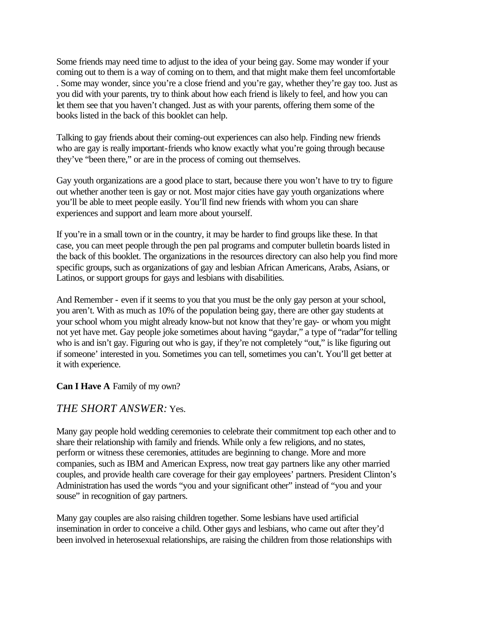Some friends may need time to adjust to the idea of your being gay. Some may wonder if your coming out to them is a way of coming on to them, and that might make them feel uncomfortable . Some may wonder, since you're a close friend and you're gay, whether they're gay too. Just as you did with your parents, try to think about how each friend is likely to feel, and how you can let them see that you haven't changed. Just as with your parents, offering them some of the books listed in the back of this booklet can help.

Talking to gay friends about their coming-out experiences can also help. Finding new friends who are gay is really important-friends who know exactly what you're going through because they've "been there," or are in the process of coming out themselves.

Gay youth organizations are a good place to start, because there you won't have to try to figure out whether another teen is gay or not. Most major cities have gay youth organizations where you'll be able to meet people easily. You'll find new friends with whom you can share experiences and support and learn more about yourself.

If you're in a small town or in the country, it may be harder to find groups like these. In that case, you can meet people through the pen pal programs and computer bulletin boards listed in the back of this booklet. The organizations in the resources directory can also help you find more specific groups, such as organizations of gay and lesbian African Americans, Arabs, Asians, or Latinos, or support groups for gays and lesbians with disabilities.

And Remember - even if it seems to you that you must be the only gay person at your school, you aren't. With as much as 10% of the population being gay, there are other gay students at your school whom you might already know-but not know that they're gay- or whom you might not yet have met. Gay people joke sometimes about having "gaydar," a type of "radar"for telling who is and isn't gay. Figuring out who is gay, if they're not completely "out," is like figuring out if someone' interested in you. Sometimes you can tell, sometimes you can't. You'll get better at it with experience.

### **Can I Have A** Family of my own?

## *THE SHORT ANSWER:* Yes.

Many gay people hold wedding ceremonies to celebrate their commitment top each other and to share their relationship with family and friends. While only a few religions, and no states, perform or witness these ceremonies, attitudes are beginning to change. More and more companies, such as IBM and American Express, now treat gay partners like any other married couples, and provide health care coverage for their gay employees' partners. President Clinton's Administration has used the words "you and your significant other" instead of "you and your souse" in recognition of gay partners.

Many gay couples are also raising children together. Some lesbians have used artificial insemination in order to conceive a child. Other gays and lesbians, who came out after they'd been involved in heterosexual relationships, are raising the children from those relationships with